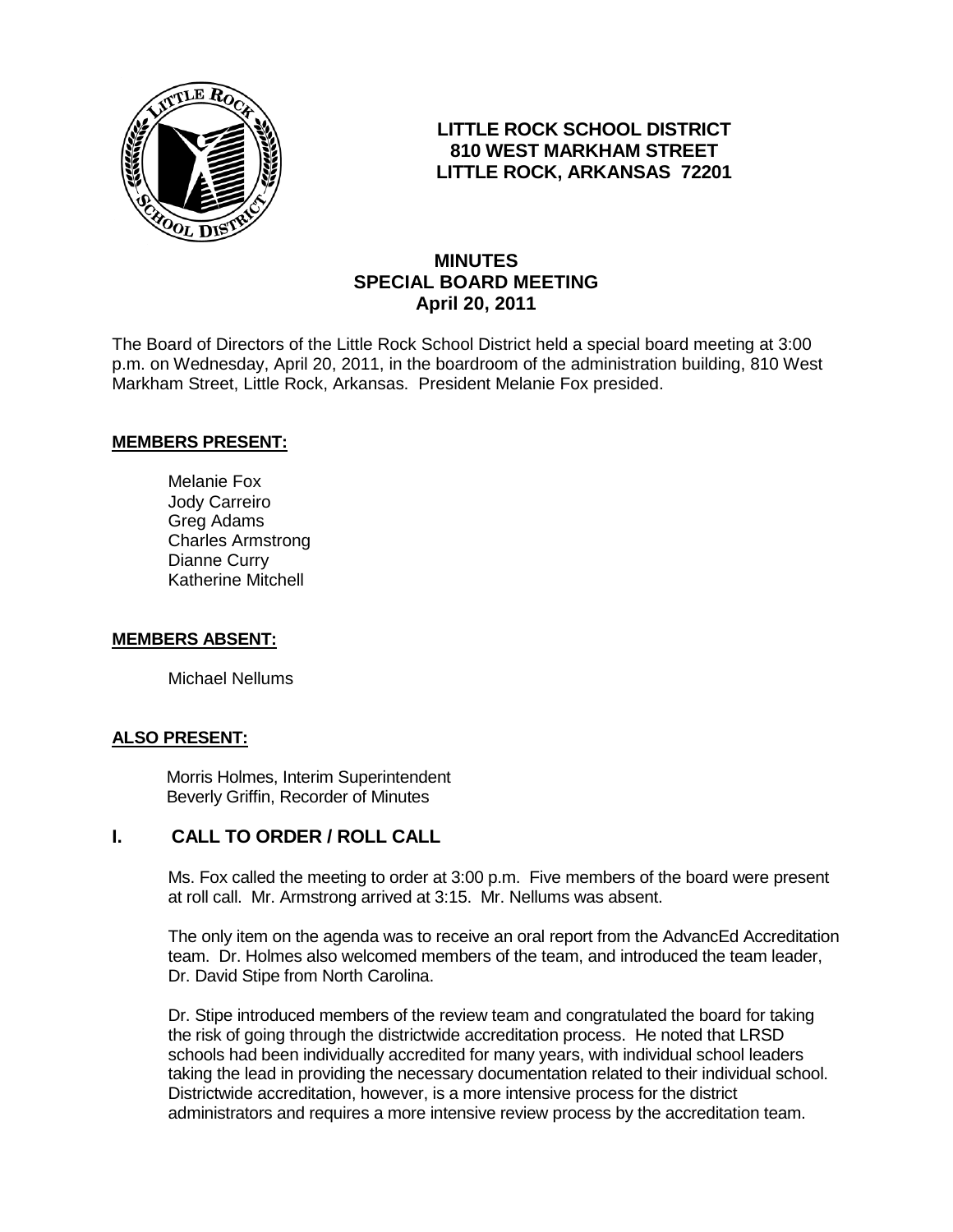

## **LITTLE ROCK SCHOOL DISTRICT 810 WEST MARKHAM STREET LITTLE ROCK, ARKANSAS 72201**

# **MINUTES SPECIAL BOARD MEETING April 20, 2011**

The Board of Directors of the Little Rock School District held a special board meeting at 3:00 p.m. on Wednesday, April 20, 2011, in the boardroom of the administration building, 810 West Markham Street, Little Rock, Arkansas. President Melanie Fox presided.

### **MEMBERS PRESENT:**

Melanie Fox Jody Carreiro Greg Adams Charles Armstrong Dianne Curry Katherine Mitchell

#### **MEMBERS ABSENT:**

Michael Nellums

#### **ALSO PRESENT:**

 Morris Holmes, Interim Superintendent Beverly Griffin, Recorder of Minutes

### **I. CALL TO ORDER / ROLL CALL**

Ms. Fox called the meeting to order at 3:00 p.m. Five members of the board were present at roll call. Mr. Armstrong arrived at 3:15. Mr. Nellums was absent.

The only item on the agenda was to receive an oral report from the AdvancEd Accreditation team. Dr. Holmes also welcomed members of the team, and introduced the team leader, Dr. David Stipe from North Carolina.

Dr. Stipe introduced members of the review team and congratulated the board for taking the risk of going through the districtwide accreditation process. He noted that LRSD schools had been individually accredited for many years, with individual school leaders taking the lead in providing the necessary documentation related to their individual school. Districtwide accreditation, however, is a more intensive process for the district administrators and requires a more intensive review process by the accreditation team.